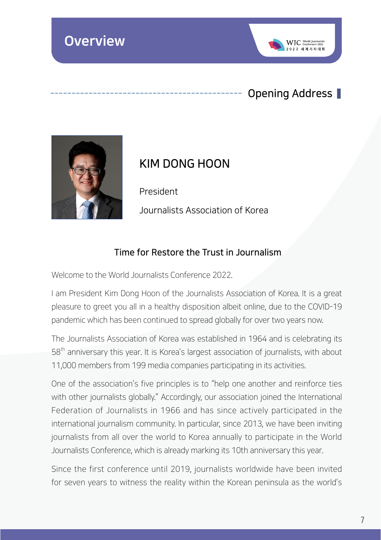

## Opening Address



## KIM DONG HOON

President Journalists Association of Korea

#### Time for Restore the Trust in Journalism

Welcome to the World Journalists Conference 2022

I am President Kim Dong Hoon of the Journalists Association of Korea. It is a great pleasure to greet you all in a healthy disposition albeit online, due to the COVID-19 pandemic which has been continued to spread globally for over two years now.

The Journalists Association of Korea was established in 1964 and is celebrating its 58<sup>th</sup> anniversary this year. It is Korea's largest association of journalists, with about 11,000 members from 199 media companies participating in its activities.

One of the association's five principles is to "help one another and reinforce ties with other journalists globally." Accordingly, our association joined the International Federation of Journalists in 1966 and has since actively participated in the international journalism community. In particular, since 2013, we have been inviting journalists from all over the world to Korea annually to participate in the World Journalists Conference, which is already marking its 10th anniversary this year.

Since the first conference until 2019, journalists worldwide have been invited for seven years to witness the reality within the Korean peninsula as the world's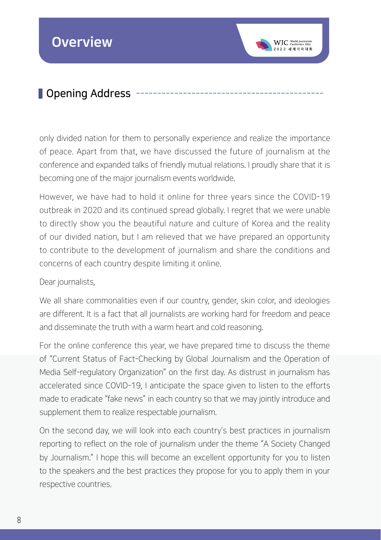# **D**ening Address

only divided nation for them to personally experience and realize the importance of peace. Apart from that, we have discussed the future of journalism at the conference and expanded talks of friendly mutual relations. I proudly share that it is becoming one of the major journalism events worldwide.

WIC North Jour

However, we have had to hold it online for three years since the COVID-19 outbreak in 2020 and its continued spread globally. I regret that we were unable to directly show you the beautiful nature and culture of Korea and the reality of our divided nation, but I am relieved that we have prepared an opportunity to contribute to the development of journalism and share the conditions and concerns of each country despite limiting it online.

#### Dear journalists,

We all share commonalities even if our country, gender, skin color, and ideologies are different. It is a fact that all journalists are working hard for freedom and peace and disseminate the truth with a warm heart and cold reasoning.

For the online conference this year, we have prepared time to discuss the theme of "Current Status of Fact-Checking by Global Journalism and the Operation of Media Self-regulatory Organization" on the first day. As distrust in journalism has accelerated since COVID-19, I anticipate the space given to listen to the efforts made to eradicate "fake news" in each country so that we may jointly introduce and supplement them to realize respectable journalism.

On the second day, we will look into each country's best practices in journalism reporting to reflect on the role of journalism under the theme "A Society Changed by Journalism." I hope this will become an excellent opportunity for you to listen to the speakers and the best practices they propose for you to apply them in your respective countries.